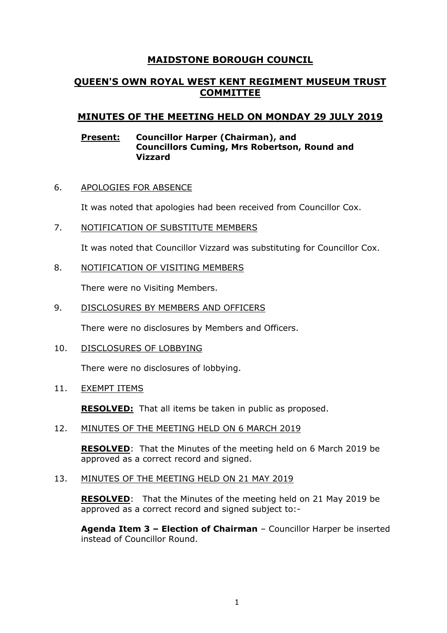# **MAIDSTONE BOROUGH COUNCIL**

## **QUEEN'S OWN ROYAL WEST KENT REGIMENT MUSEUM TRUST COMMITTEE**

## **MINUTES OF THE MEETING HELD ON MONDAY 29 JULY 2019**

## **Present: Councillor Harper (Chairman), and Councillors Cuming, Mrs Robertson, Round and Vizzard**

6. APOLOGIES FOR ABSENCE

It was noted that apologies had been received from Councillor Cox.

7. NOTIFICATION OF SUBSTITUTE MEMBERS

It was noted that Councillor Vizzard was substituting for Councillor Cox.

## 8. NOTIFICATION OF VISITING MEMBERS

There were no Visiting Members.

## 9. DISCLOSURES BY MEMBERS AND OFFICERS

There were no disclosures by Members and Officers.

10. DISCLOSURES OF LOBBYING

There were no disclosures of lobbying.

11. EXEMPT ITEMS

**RESOLVED:** That all items be taken in public as proposed.

## 12. MINUTES OF THE MEETING HELD ON 6 MARCH 2019

**RESOLVED**: That the Minutes of the meeting held on 6 March 2019 be approved as a correct record and signed.

## 13. MINUTES OF THE MEETING HELD ON 21 MAY 2019

**RESOLVED**: That the Minutes of the meeting held on 21 May 2019 be approved as a correct record and signed subject to:-

**Agenda Item 3 – Election of Chairman** – Councillor Harper be inserted instead of Councillor Round.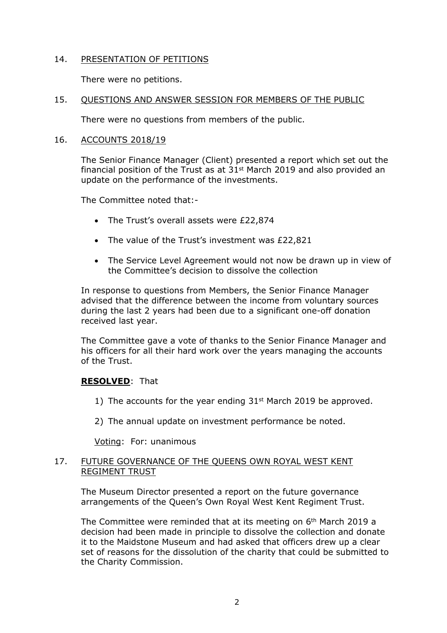## 14. PRESENTATION OF PETITIONS

There were no petitions.

## 15. QUESTIONS AND ANSWER SESSION FOR MEMBERS OF THE PUBLIC

There were no questions from members of the public.

## 16. ACCOUNTS 2018/19

The Senior Finance Manager (Client) presented a report which set out the financial position of the Trust as at  $31<sup>st</sup>$  March 2019 and also provided an update on the performance of the investments.

The Committee noted that:-

- The Trust's overall assets were £22,874
- The value of the Trust's investment was £22,821
- The Service Level Agreement would not now be drawn up in view of the Committee's decision to dissolve the collection

In response to questions from Members, the Senior Finance Manager advised that the difference between the income from voluntary sources during the last 2 years had been due to a significant one-off donation received last year.

The Committee gave a vote of thanks to the Senior Finance Manager and his officers for all their hard work over the years managing the accounts of the Trust.

## **RESOLVED**: That

- 1) The accounts for the year ending  $31<sup>st</sup>$  March 2019 be approved.
- 2) The annual update on investment performance be noted.

Voting: For: unanimous

## 17. FUTURE GOVERNANCE OF THE QUEENS OWN ROYAL WEST KENT REGIMENT TRUST

The Museum Director presented a report on the future governance arrangements of the Queen's Own Royal West Kent Regiment Trust.

The Committee were reminded that at its meeting on 6th March 2019 a decision had been made in principle to dissolve the collection and donate it to the Maidstone Museum and had asked that officers drew up a clear set of reasons for the dissolution of the charity that could be submitted to the Charity Commission.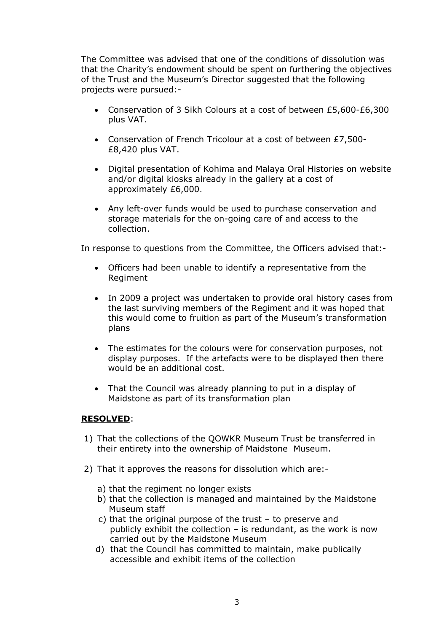The Committee was advised that one of the conditions of dissolution was that the Charity's endowment should be spent on furthering the objectives of the Trust and the Museum's Director suggested that the following projects were pursued:-

- Conservation of 3 Sikh Colours at a cost of between £5,600-£6,300 plus VAT.
- Conservation of French Tricolour at a cost of between £7,500- £8,420 plus VAT.
- Digital presentation of Kohima and Malaya Oral Histories on website and/or digital kiosks already in the gallery at a cost of approximately £6,000.
- Any left-over funds would be used to purchase conservation and storage materials for the on-going care of and access to the collection.

In response to questions from the Committee, the Officers advised that:-

- Officers had been unable to identify a representative from the Regiment
- In 2009 a project was undertaken to provide oral history cases from the last surviving members of the Regiment and it was hoped that this would come to fruition as part of the Museum's transformation plans
- The estimates for the colours were for conservation purposes, not display purposes. If the artefacts were to be displayed then there would be an additional cost.
- That the Council was already planning to put in a display of Maidstone as part of its transformation plan

## **RESOLVED**:

- 1) That the collections of the QOWKR Museum Trust be transferred in their entirety into the ownership of Maidstone Museum.
- 2) That it approves the reasons for dissolution which are:
	- a) that the regiment no longer exists
	- b) that the collection is managed and maintained by the Maidstone Museum staff
	- c) that the original purpose of the trust to preserve and publicly exhibit the collection  $-$  is redundant, as the work is now carried out by the Maidstone Museum
	- d) that the Council has committed to maintain, make publically accessible and exhibit items of the collection